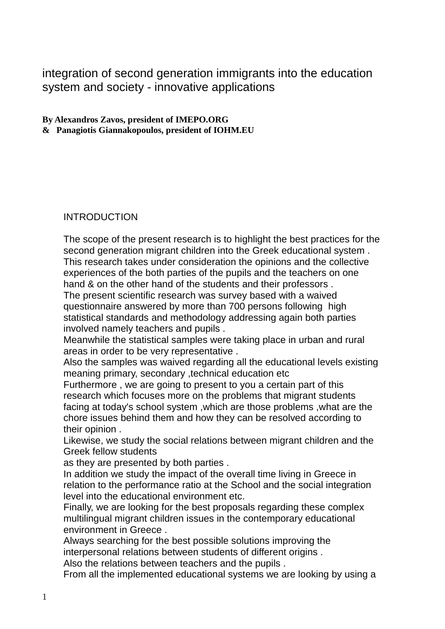integration of second generation immigrants into the education system and society - innovative applications

**By Alexandros Zavos, president of IMEPO.ORG & Panagiotis Giannakopoulos, president of IOHM.EU**

# INTRODUCTION

The scope of the present research is to highlight the best practices for the second generation migrant children into the Greek educational system . This research takes under consideration the opinions and the collective experiences of the both parties of the pupils and the teachers on one hand & on the other hand of the students and their professors .

The present scientific research was survey based with a waived questionnaire answered by more than 700 persons following high statistical standards and methodology addressing again both parties involved namely teachers and pupils .

Meanwhile the statistical samples were taking place in urban and rural areas in order to be very representative .

Also the samples was waived regarding all the educational levels existing meaning primary, secondary ,technical education etc

Furthermore , we are going to present to you a certain part of this research which focuses more on the problems that migrant students facing at today's school system ,which are those problems ,what are the chore issues behind them and how they can be resolved according to their opinion .

Likewise, we study the social relations between migrant children and the Greek fellow students

as they are presented by both parties .

In addition we study the impact of the overall time living in Greece in relation to the performance ratio at the School and the social integration level into the educational environment etc.

Finally, we are looking for the best proposals regarding these complex multilingual migrant children issues in the contemporary educational environment in Greece .

Always searching for the best possible solutions improving the interpersonal relations between students of different origins .

Also the relations between teachers and the pupils .

From all the implemented educational systems we are looking by using a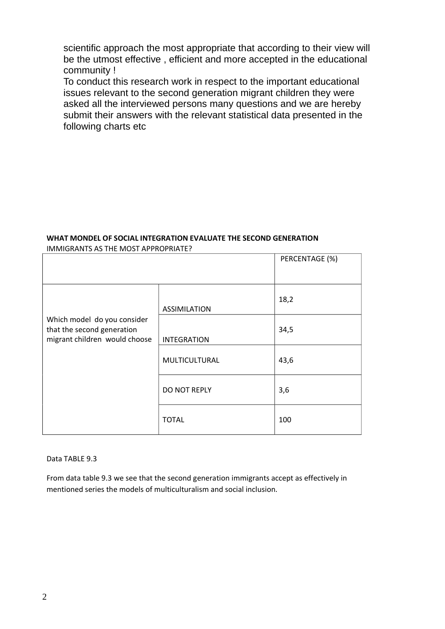scientific approach the most appropriate that according to their view will be the utmost effective , efficient and more accepted in the educational community !

To conduct this research work in respect to the important educational issues relevant to the second generation migrant children they were asked all the interviewed persons many questions and we are hereby submit their answers with the relevant statistical data presented in the following charts etc

#### **WHAT MONDEL OF SOCIAL INTEGRATION EVALUATE THE SECOND GENERATION** IMMIGRANTS AS THE MOST APPROPRIATE?

|                                                                                            |                     | PERCENTAGE (%) |
|--------------------------------------------------------------------------------------------|---------------------|----------------|
|                                                                                            | <b>ASSIMILATION</b> | 18,2           |
| Which model do you consider<br>that the second generation<br>migrant children would choose | <b>INTEGRATION</b>  | 34,5           |
|                                                                                            | MULTICULTURAL       | 43,6           |
|                                                                                            | DO NOT REPLY        | 3,6            |
|                                                                                            | <b>TOTAL</b>        | 100            |

Data TABLE 9.3

From data table 9.3 we see that the second generation immigrants accept as effectively in mentioned series the models of multiculturalism and social inclusion.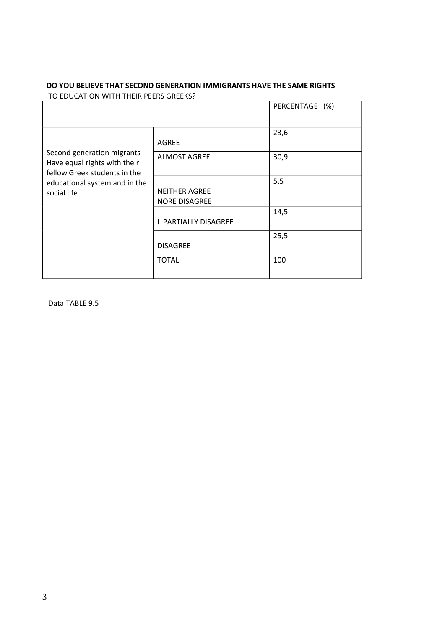|                                                            |                             | PERCENTAGE (%) |
|------------------------------------------------------------|-----------------------------|----------------|
|                                                            |                             |                |
|                                                            |                             | 23,6           |
|                                                            | <b>AGREE</b>                |                |
| Second generation migrants<br>Have equal rights with their | <b>ALMOST AGREE</b>         | 30,9           |
| fellow Greek students in the                               |                             |                |
| educational system and in the                              |                             | 5,5            |
| social life                                                | <b>NEITHER AGREE</b>        |                |
|                                                            | <b>NORE DISAGREE</b>        |                |
|                                                            |                             | 14,5           |
|                                                            | <b>I PARTIALLY DISAGREE</b> |                |
|                                                            |                             | 25,5           |
|                                                            | <b>DISAGREE</b>             |                |
|                                                            | <b>TOTAL</b>                | 100            |
|                                                            |                             |                |

#### **DO YOU BELIEVE THAT SECOND GENERATION IMMIGRANTS HAVE THE SAME RIGHTS** TO EDUCATION WITH THEIR PEERS GREEKS?

Data TABLE 9.5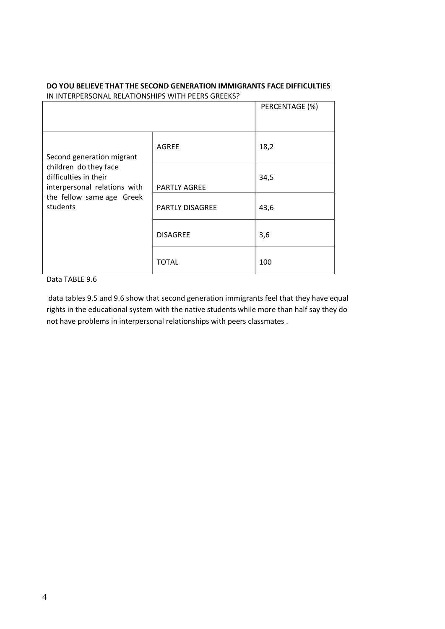|                                                                                                                                                      |                        | PERCENTAGE (%) |
|------------------------------------------------------------------------------------------------------------------------------------------------------|------------------------|----------------|
| Second generation migrant<br>children do they face<br>difficulties in their<br>interpersonal relations with<br>the fellow same age Greek<br>students | <b>AGREE</b>           | 18,2           |
|                                                                                                                                                      | PARTLY AGREE           | 34,5           |
|                                                                                                                                                      | <b>PARTLY DISAGREE</b> | 43,6           |
|                                                                                                                                                      | <b>DISAGREE</b>        | 3,6            |
|                                                                                                                                                      | <b>TOTAL</b>           | 100            |

#### **DO YOU BELIEVE THAT THE SECOND GENERATION IMMIGRANTS FACE DIFFICULTIES**  IN INTERPERSONAL RELATIONSHIPS WITH PEERS GREEKS?

#### Data TABLE 9.6

data tables 9.5 and 9.6 show that second generation immigrants feel that they have equal rights in the educational system with the native students while more than half say they do not have problems in interpersonal relationships with peers classmates .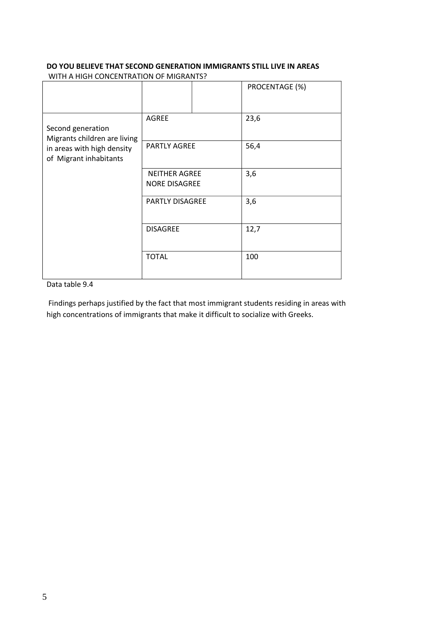#### **DO YOU BELIEVE THAT SECOND GENERATION IMMIGRANTS STILL LIVE IN AREAS** WITH A HIGH CONCENTRATION OF MIGRANTS?

|                                                      |                                              |  | PROCENTAGE (%) |  |
|------------------------------------------------------|----------------------------------------------|--|----------------|--|
| Second generation<br>Migrants children are living    | AGREE                                        |  | 23,6           |  |
| in areas with high density<br>of Migrant inhabitants | PARTLY AGREE                                 |  | 56,4           |  |
|                                                      | <b>NEITHER AGREE</b><br><b>NORE DISAGREE</b> |  | 3,6            |  |
|                                                      | PARTLY DISAGREE                              |  | 3,6            |  |
|                                                      | <b>DISAGREE</b>                              |  | 12,7           |  |
|                                                      | <b>TOTAL</b>                                 |  | 100            |  |

### Data table 9.4

Findings perhaps justified by the fact that most immigrant students residing in areas with high concentrations of immigrants that make it difficult to socialize with Greeks.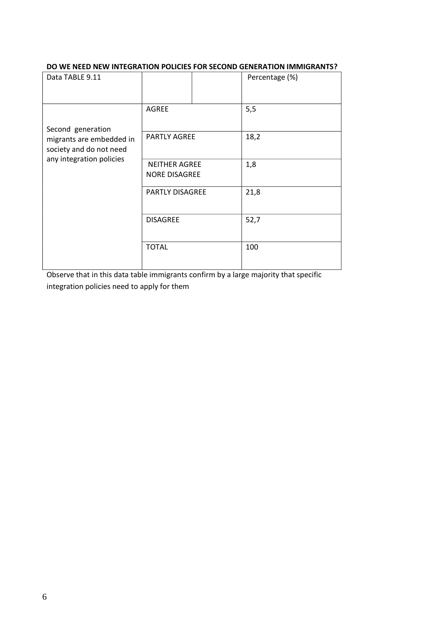#### **DO WE NEED NEW INTEGRATION POLICIES FOR SECOND GENERATION IMMIGRANTS?**

| Data TABLE 9.11                                     |                                              |  | Percentage (%) |
|-----------------------------------------------------|----------------------------------------------|--|----------------|
| Second generation                                   | <b>AGREE</b>                                 |  | 5,5            |
| migrants are embedded in<br>society and do not need | <b>PARTLY AGREE</b>                          |  | 18,2           |
| any integration policies                            | <b>NEITHER AGREE</b><br><b>NORE DISAGREE</b> |  | 1,8            |
|                                                     | <b>PARTLY DISAGREE</b>                       |  | 21,8           |
|                                                     | <b>DISAGREE</b>                              |  | 52,7           |
|                                                     | <b>TOTAL</b>                                 |  | 100            |

Observe that in this data table immigrants confirm by a large majority that specific integration policies need to apply for them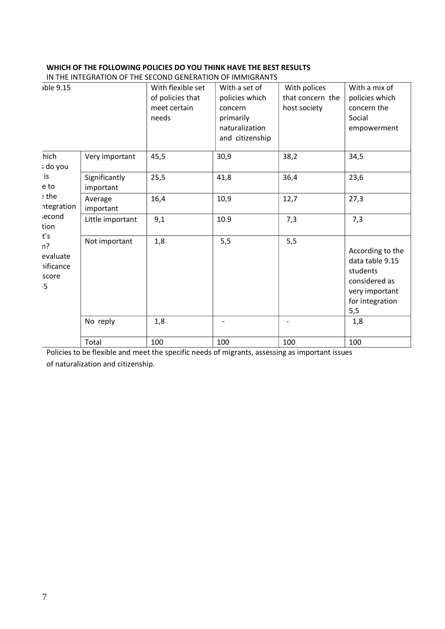#### **WHICH OF THE FOLLOWING POLICIES DO YOU THINK HAVE THE BEST RESULTS**  IN THE INTEGRATION OF THE SECOND GENERATION OF IMMIGRANTS

| able 9.15                                                  |                            | With flexible set<br>of policies that | With a set of<br>policies which                           | With polices<br>that concern the | With a mix of<br>policies which                                                                              |
|------------------------------------------------------------|----------------------------|---------------------------------------|-----------------------------------------------------------|----------------------------------|--------------------------------------------------------------------------------------------------------------|
|                                                            |                            | meet certain<br>needs                 | concern<br>primarily<br>naturalization<br>and citizenship | host society                     | concern the<br>Social<br>empowerment                                                                         |
| hich<br>; do you                                           | Very important             | 45,5                                  | 30,9                                                      | 38,2                             | 34,5                                                                                                         |
| is<br>e to                                                 | Significantly<br>important | 25,5                                  | 41,8                                                      | 36,4                             | 23,6                                                                                                         |
| e the<br>ntegration                                        | Average<br>important       | 16,4                                  | 10,9                                                      | 12,7                             | 27,3                                                                                                         |
| <b>iecond</b><br>tion                                      | Little important           | 9,1                                   | 10.9                                                      | 7,3                              | 7,3                                                                                                          |
| t's<br>n?<br>evaluate<br><i>nificance</i><br>score<br>$-5$ | Not important              | 1,8                                   | 5,5                                                       | 5,5                              | According to the<br>data table 9.15<br>students<br>considered as<br>very important<br>for integration<br>5,5 |
|                                                            | No reply                   | 1,8                                   |                                                           |                                  | 1,8                                                                                                          |
|                                                            | Total                      | 100                                   | 100                                                       | 100                              | 100                                                                                                          |

Policies to be flexible and meet the specific needs of migrants, assessing as important issues of naturalization and citizenship.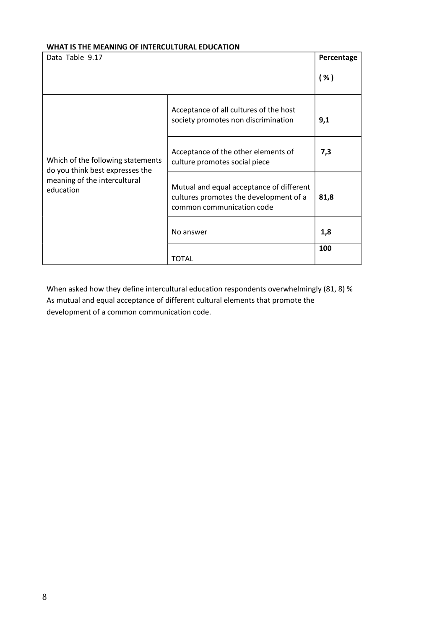#### **WHAT IS THE MEANING OF INTERCULTURAL EDUCATION**

| Data Table 9.17                                                      |                                                                                                                 | Percentage |
|----------------------------------------------------------------------|-----------------------------------------------------------------------------------------------------------------|------------|
|                                                                      |                                                                                                                 | ( %)       |
|                                                                      | Acceptance of all cultures of the host<br>society promotes non discrimination                                   | 9,1        |
| Which of the following statements<br>do you think best expresses the | Acceptance of the other elements of<br>culture promotes social piece                                            | 7,3        |
| meaning of the intercultural<br>education                            | Mutual and equal acceptance of different<br>cultures promotes the development of a<br>common communication code | 81,8       |
|                                                                      | No answer                                                                                                       | 1,8        |
|                                                                      | <b>TOTAL</b>                                                                                                    | 100        |

When asked how they define intercultural education respondents overwhelmingly (81, 8) % As mutual and equal acceptance of different cultural elements that promote the development of a common communication code.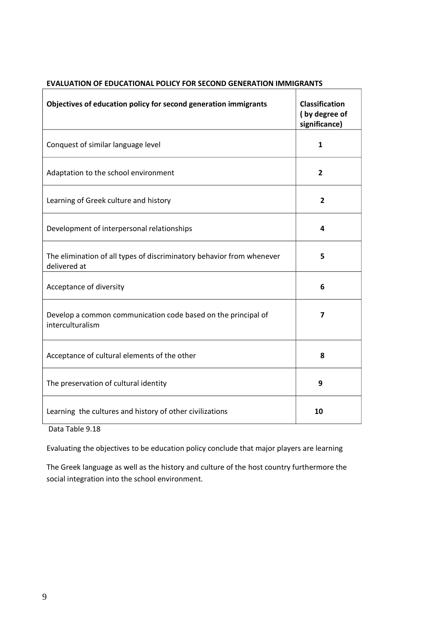| Objectives of education policy for second generation immigrants                       | <b>Classification</b><br>(by degree of<br>significance) |
|---------------------------------------------------------------------------------------|---------------------------------------------------------|
| Conquest of similar language level                                                    | $\mathbf{1}$                                            |
| Adaptation to the school environment                                                  | 2                                                       |
| Learning of Greek culture and history                                                 | $\overline{2}$                                          |
| Development of interpersonal relationships                                            | $\overline{\mathbf{4}}$                                 |
| The elimination of all types of discriminatory behavior from whenever<br>delivered at | 5                                                       |
| Acceptance of diversity                                                               | 6                                                       |
| Develop a common communication code based on the principal of<br>interculturalism     | 7                                                       |
| Acceptance of cultural elements of the other                                          | 8                                                       |
| The preservation of cultural identity                                                 | 9                                                       |
| Learning the cultures and history of other civilizations                              | 10                                                      |

## **EVALUATION OF EDUCATIONAL POLICY FOR SECOND GENERATION IMMIGRANTS**

Data Table 9.18

Evaluating the objectives to be education policy conclude that major players are learning

The Greek language as well as the history and culture of the host country furthermore the social integration into the school environment.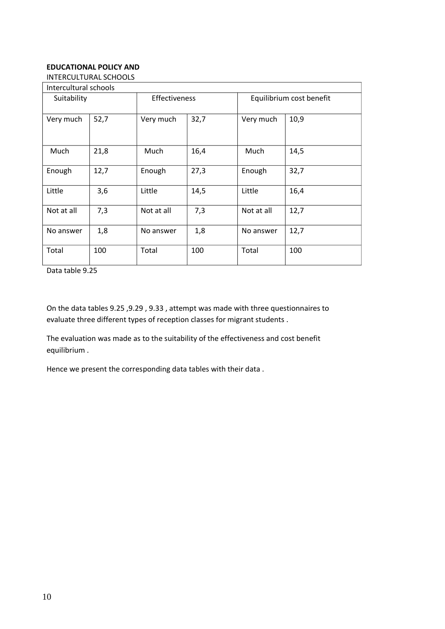#### **EDUCATIONAL POLICY AND**

INTERCULTURAL SCHOOLS

| Intercultural schools |      |               |      |                          |      |
|-----------------------|------|---------------|------|--------------------------|------|
| Suitability           |      | Effectiveness |      | Equilibrium cost benefit |      |
| Very much             | 52,7 | Very much     | 32,7 | Very much                | 10,9 |
| Much                  | 21,8 | Much          | 16,4 | Much                     | 14,5 |
| Enough                | 12,7 | Enough        | 27,3 | Enough                   | 32,7 |
| Little                | 3,6  | Little        | 14,5 | Little                   | 16,4 |
| Not at all            | 7,3  | Not at all    | 7,3  | Not at all               | 12,7 |
| No answer             | 1,8  | No answer     | 1,8  | No answer                | 12,7 |
| Total                 | 100  | Total         | 100  | Total                    | 100  |

Data table 9.25

On the data tables 9.25 ,9.29 , 9.33 , attempt was made with three questionnaires to evaluate three different types of reception classes for migrant students .

The evaluation was made as to the suitability of the effectiveness and cost benefit equilibrium .

Hence we present the corresponding data tables with their data .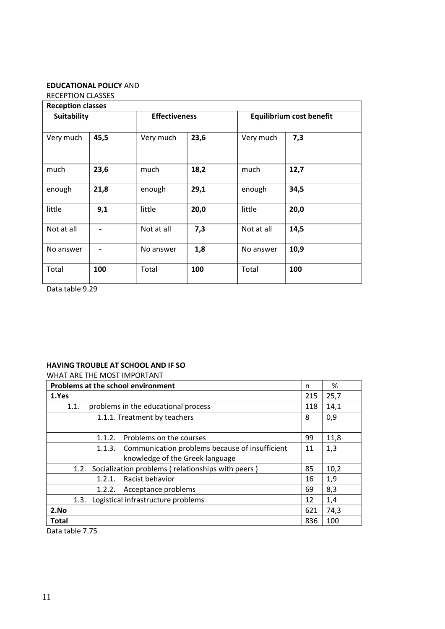### **EDUCATIONAL POLICY** AND

RECEPTION CLASSES

| <b>Reception classes</b> |      |                      |      |            |                                 |  |
|--------------------------|------|----------------------|------|------------|---------------------------------|--|
| <b>Suitability</b>       |      | <b>Effectiveness</b> |      |            | <b>Equilibrium cost benefit</b> |  |
| Very much                | 45,5 | Very much            | 23,6 | Very much  | 7,3                             |  |
| much                     | 23,6 | much                 | 18,2 | much       | 12,7                            |  |
| enough                   | 21,8 | enough               | 29,1 | enough     | 34,5                            |  |
| little                   | 9,1  | little               | 20,0 | little     | 20,0                            |  |
| Not at all               |      | Not at all           | 7,3  | Not at all | 14,5                            |  |
| No answer                |      | No answer            | 1,8  | No answer  | 10,9                            |  |
| Total                    | 100  | Total                | 100  | Total      | 100                             |  |

Data table 9.29

#### **HAVING TROUBLE AT SCHOOL AND IF SO**

## WHAT ARE THE MOST IMPORTANT **Problems at the school environment** 1 and 1 m  $\left| \right|$  % **1.Yes** 215 25,7 1.1. problems in the educational process  $118 | 14,1$ 1.1.1. Treatment by teachers 8 0,9 1.1.2. Problems on the courses  $99 \mid 11.8$ 1.1.3. Communication problems because of insufficient knowledge of the Greek language  $11 \mid 1,3$ 1.2. Socialization problems ( relationships with peers )  $\begin{array}{|l|l|} 85 & 10,2 \end{array}$ 1.2.1. Racist behavior 16 1,9 1.2.2. Acceptance problems 69 8,3 1.3. Logistical infrastructure problems 12 1,4 **2.No** 621 74,3 **Total** 836 100 Data table 7.75

1.1.1.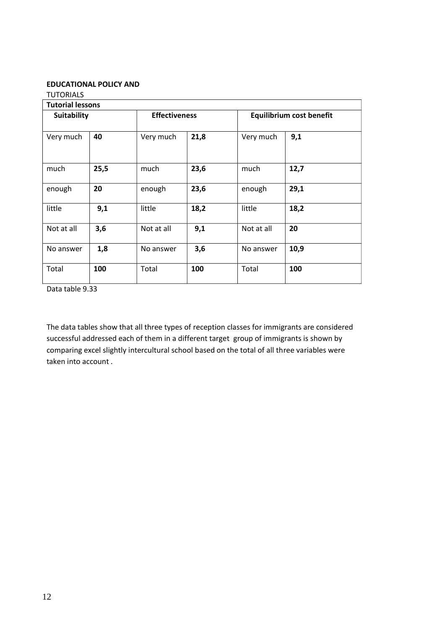#### **EDUCATIONAL POLICY AND**

| <b>TUTORIALS</b>        |      |                      |      |            |                                 |
|-------------------------|------|----------------------|------|------------|---------------------------------|
| <b>Tutorial lessons</b> |      |                      |      |            |                                 |
| Suitability             |      | <b>Effectiveness</b> |      |            | <b>Equilibrium cost benefit</b> |
| Very much               | 40   | Very much            | 21,8 | Very much  | 9,1                             |
| much                    | 25,5 | much                 | 23,6 | much       | 12,7                            |
| enough                  | 20   | enough               | 23,6 | enough     | 29,1                            |
| little                  | 9,1  | little               | 18,2 | little     | 18,2                            |
| Not at all              | 3,6  | Not at all           | 9,1  | Not at all | 20                              |
| No answer               | 1,8  | No answer            | 3,6  | No answer  | 10,9                            |
| Total                   | 100  | Total                | 100  | Total      | 100                             |

Data table 9.33

The data tables show that all three types of reception classes for immigrants are considered successful addressed each of them in a different target group of immigrants is shown by comparing excel slightly intercultural school based on the total of all three variables were taken into account .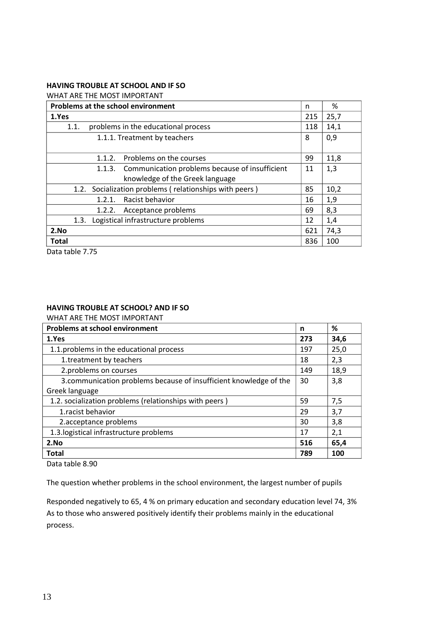#### **HAVING TROUBLE AT SCHOOL AND IF SO**

WHAT ARE THE MOST IMPORTANT

| Problems at the school environment                        | n   | %    |
|-----------------------------------------------------------|-----|------|
| 1.Yes                                                     | 215 | 25,7 |
| problems in the educational process<br>1.1.               | 118 | 14,1 |
| 1.1.1. Treatment by teachers                              | 8   | 0,9  |
| Problems on the courses<br>1.1.2.                         | 99  | 11,8 |
| 1.1.3. Communication problems because of insufficient     | 11  | 1,3  |
| knowledge of the Greek language                           |     |      |
| Socialization problems (relationships with peers)<br>1.2. | 85  | 10,2 |
| Racist behavior<br>1.2.1.                                 | 16  | 1,9  |
| Acceptance problems<br>1.2.2.                             | 69  | 8,3  |
| Logistical infrastructure problems<br>1.3.                | 12  | 1,4  |
| 2.No                                                      | 621 | 74,3 |
| Total                                                     | 836 | 100  |

Data table 7.75

#### **HAVING TROUBLE AT SCHOOL? AND IF SO**

WHAT ARE THE MOST IMPORTANT

| <b>Problems at school environment</b>                              | n   | ℅    |
|--------------------------------------------------------------------|-----|------|
| 1.Yes                                                              | 273 | 34,6 |
| 1.1. problems in the educational process                           | 197 | 25,0 |
| 1.treatment by teachers                                            | 18  | 2,3  |
| 2.problems on courses                                              | 149 | 18,9 |
| 3. communication problems because of insufficient knowledge of the | 30  | 3,8  |
| Greek language                                                     |     |      |
| 1.2. socialization problems (relationships with peers)             | 59  | 7,5  |
| 1.racist behavior                                                  | 29  | 3,7  |
| 2.acceptance problems                                              | 30  | 3,8  |
| 1.3. logistical infrastructure problems                            | 17  | 2,1  |
| 2.No                                                               | 516 | 65,4 |
| <b>Total</b>                                                       | 789 | 100  |

Data table 8.90

The question whether problems in the school environment, the largest number of pupils

Responded negatively to 65, 4 % on primary education and secondary education level 74, 3% As to those who answered positively identify their problems mainly in the educational process.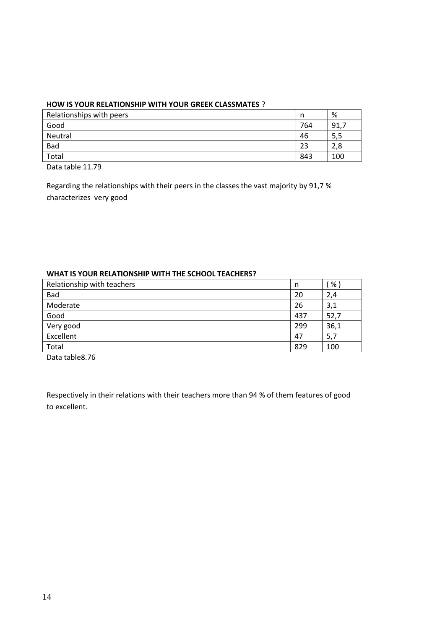#### **HOW IS YOUR RELATIONSHIP WITH YOUR GREEK CLASSMATES** ?

| Relationships with peers | n   | %    |
|--------------------------|-----|------|
| Good                     | 764 | 91,7 |
| Neutral                  | 46  | 5,5  |
| Bad                      | 23  | 2,8  |
| Total                    | 843 | 100  |
| _ _ _ _ _ _ _ _ _ _ _    |     |      |

Data table 11.79

Regarding the relationships with their peers in the classes the vast majority by 91,7 % characterizes very good

#### **WHAT IS YOUR RELATIONSHIP WITH THE SCHOOL TEACHERS?**

| Relationship with teachers | n   | %    |
|----------------------------|-----|------|
| Bad                        | 20  | 2,4  |
| Moderate                   | 26  | 3,1  |
| Good                       | 437 | 52,7 |
| Very good                  | 299 | 36,1 |
| Excellent                  | 47  | 5,7  |
| Total                      | 829 | 100  |

Data table8.76

Respectively in their relations with their teachers more than 94 % of them features of good to excellent.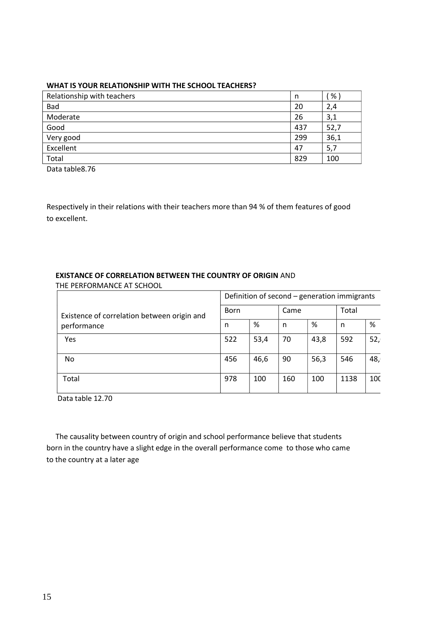#### **WHAT IS YOUR RELATIONSHIP WITH THE SCHOOL TEACHERS?**

| Relationship with teachers | n   | %    |
|----------------------------|-----|------|
| Bad                        | 20  | 2,4  |
| Moderate                   | 26  | 3,1  |
| Good                       | 437 | 52,7 |
| Very good                  | 299 | 36,1 |
| Excellent                  | 47  | 5,7  |
| Total                      | 829 | 100  |

Data table8.76

Respectively in their relations with their teachers more than 94 % of them features of good to excellent.

# **EXISTANCE OF CORRELATION BETWEEN THE COUNTRY OF ORIGIN** AND

THE PERFORMANCE AT SCHOOL

|                                             | Definition of second - generation immigrants |      |      |      |       |     |
|---------------------------------------------|----------------------------------------------|------|------|------|-------|-----|
| Existence of correlation between origin and | <b>Born</b>                                  |      | Came |      | Total |     |
| performance                                 | n                                            | %    | n    | %    | n     | %   |
| <b>Yes</b>                                  | 522                                          | 53,4 | 70   | 43,8 | 592   | 52, |
| No.                                         | 456                                          | 46,6 | 90   | 56,3 | 546   | 48, |
| Total                                       | 978                                          | 100  | 160  | 100  | 1138  | 100 |

Data table 12.70

 The causality between country of origin and school performance believe that students born in the country have a slight edge in the overall performance come to those who came to the country at a later age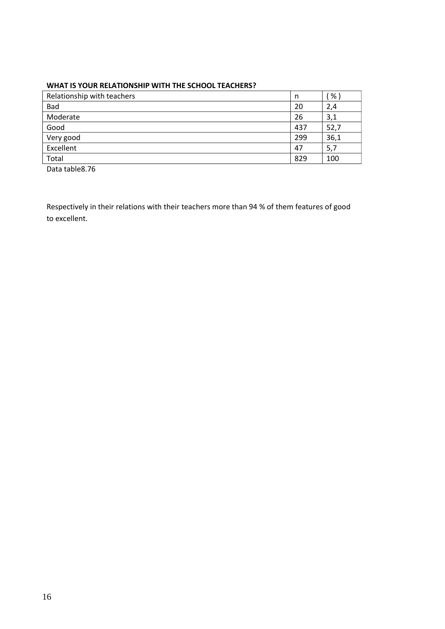#### **WHAT IS YOUR RELATIONSHIP WITH THE SCHOOL TEACHERS?**

| Relationship with teachers | n   | %    |
|----------------------------|-----|------|
| Bad                        | 20  | 2,4  |
| Moderate                   | 26  | 3,1  |
| Good                       | 437 | 52,7 |
| Very good                  | 299 | 36,1 |
| Excellent                  | 47  | 5,7  |
| Total                      | 829 | 100  |

Data table8.76

Respectively in their relations with their teachers more than 94 % of them features of good to excellent.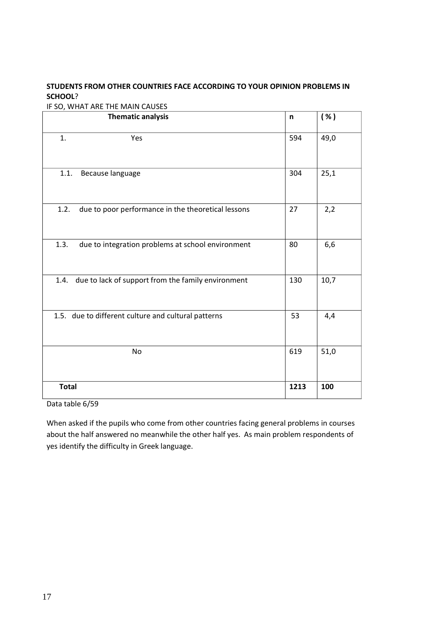## **STUDENTS FROM OTHER COUNTRIES FACE ACCORDING TO YOUR OPINION PROBLEMS IN SCHOOL**?

IF SO, WHAT ARE THE MAIN CAUSES

| <b>Thematic analysis</b>                                   | n    | ( %) |
|------------------------------------------------------------|------|------|
| Yes<br>1.                                                  | 594  | 49,0 |
| 1.1.<br>Because language                                   | 304  | 25,1 |
| 1.2.<br>due to poor performance in the theoretical lessons | 27   | 2,2  |
| 1.3.<br>due to integration problems at school environment  | 80   | 6,6  |
| due to lack of support from the family environment<br>1.4. | 130  | 10,7 |
| 1.5. due to different culture and cultural patterns        | 53   | 4,4  |
| No                                                         | 619  | 51,0 |
| <b>Total</b>                                               | 1213 | 100  |

Data table 6/59

When asked if the pupils who come from other countries facing general problems in courses about the half answered no meanwhile the other half yes. As main problem respondents of yes identify the difficulty in Greek language.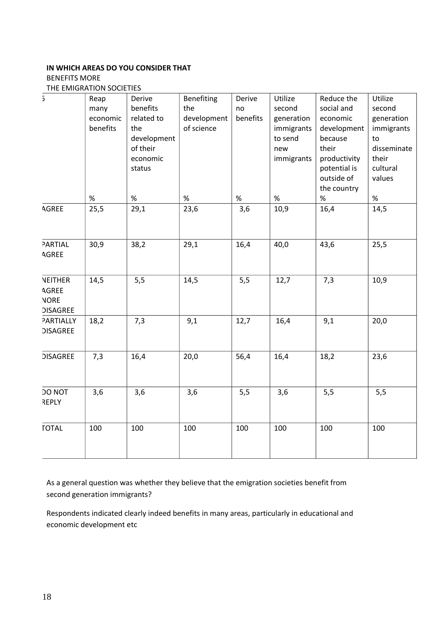# **IN WHICH AREAS DO YOU CONSIDER THAT**

## BENEFITS MORE

THE EMIGRATION SOCIETIES

| $\overline{5}$                                                   | Reap<br>many<br>economic<br>benefits | Derive<br>benefits<br>related to<br>the<br>development<br>of their<br>economic<br>status | Benefiting<br>the<br>development<br>of science | Derive<br>no<br>benefits | Utilize<br>second<br>generation<br>immigrants<br>to send<br>new<br>immigrants | Reduce the<br>social and<br>economic<br>development<br>because<br>their<br>productivity<br>potential is<br>outside of<br>the country | Utilize<br>second<br>generation<br>immigrants<br>to<br>disseminate<br>their<br>cultural<br>values |
|------------------------------------------------------------------|--------------------------------------|------------------------------------------------------------------------------------------|------------------------------------------------|--------------------------|-------------------------------------------------------------------------------|--------------------------------------------------------------------------------------------------------------------------------------|---------------------------------------------------------------------------------------------------|
|                                                                  | $\%$                                 | $\%$                                                                                     | $\%$                                           | $\%$                     | $\%$                                                                          | $\%$                                                                                                                                 | $\%$                                                                                              |
| AGREE                                                            | 25,5                                 | 29,1                                                                                     | 23,6                                           | 3,6                      | 10,9                                                                          | 16,4                                                                                                                                 | 14,5                                                                                              |
| PARTIAL<br><b>AGREE</b>                                          | 30,9                                 | 38,2                                                                                     | 29,1                                           | 16,4                     | 40,0                                                                          | 43,6                                                                                                                                 | 25,5                                                                                              |
| <b>NEITHER</b><br><b>AGREE</b><br><b>NORE</b><br><b>DISAGREE</b> | 14,5                                 | 5,5                                                                                      | 14,5                                           | 5,5                      | 12,7                                                                          | 7,3                                                                                                                                  | 10,9                                                                                              |
| PARTIALLY<br><b>DISAGREE</b>                                     | 18,2                                 | 7,3                                                                                      | 9,1                                            | 12,7                     | 16,4                                                                          | 9,1                                                                                                                                  | 20,0                                                                                              |
| <b>DISAGREE</b>                                                  | 7,3                                  | 16,4                                                                                     | 20,0                                           | 56,4                     | 16,4                                                                          | 18,2                                                                                                                                 | 23,6                                                                                              |
| DO NOT<br><b>REPLY</b>                                           | 3,6                                  | 3,6                                                                                      | 3,6                                            | 5,5                      | 3,6                                                                           | 5,5                                                                                                                                  | 5,5                                                                                               |
| <b>TOTAL</b>                                                     | 100                                  | 100                                                                                      | 100                                            | 100                      | 100                                                                           | 100                                                                                                                                  | 100                                                                                               |

As a general question was whether they believe that the emigration societies benefit from second generation immigrants?

Respondents indicated clearly indeed benefits in many areas, particularly in educational and economic development etc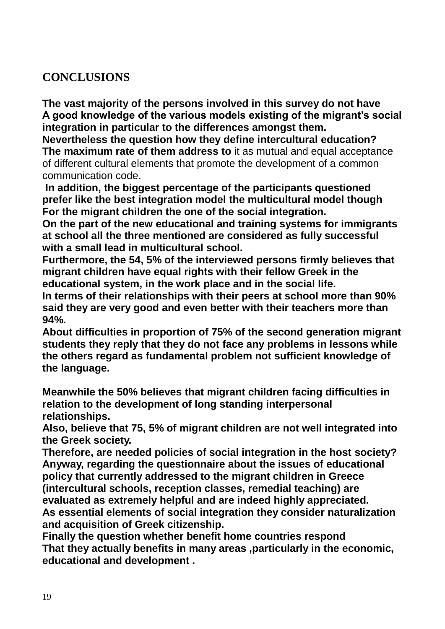# **CONCLUSIONS**

**The vast majority of the persons involved in this survey do not have A good knowledge of the various models existing of the migrant's social integration in particular to the differences amongst them.**

**Nevertheless the question how they define intercultural education? The maximum rate of them address to** it as mutual and equal acceptance of different cultural elements that promote the development of a common communication code.

**In addition, the biggest percentage of the participants questioned prefer like the best integration model the multicultural model though For the migrant children the one of the social integration.**

**On the part of the new educational and training systems for immigrants at school all the three mentioned are considered as fully successful with a small lead in multicultural school.**

**Furthermore, the 54, 5% of the interviewed persons firmly believes that migrant children have equal rights with their fellow Greek in the educational system, in the work place and in the social life.**

**In terms of their relationships with their peers at school more than 90% said they are very good and even better with their teachers more than 94%.**

**About difficulties in proportion of 75% of the second generation migrant students they reply that they do not face any problems in lessons while the others regard as fundamental problem not sufficient knowledge of the language.**

**Meanwhile the 50% believes that migrant children facing difficulties in relation to the development of long standing interpersonal relationships.**

**Also, believe that 75, 5% of migrant children are not well integrated into the Greek society.**

**Therefore, are needed policies of social integration in the host society? Anyway, regarding the questionnaire about the issues of educational policy that currently addressed to the migrant children in Greece (intercultural schools, reception classes, remedial teaching) are evaluated as extremely helpful and are indeed highly appreciated. As essential elements of social integration they consider naturalization and acquisition of Greek citizenship.**

**Finally the question whether benefit home countries respond That they actually benefits in many areas ,particularly in the economic, educational and development .**